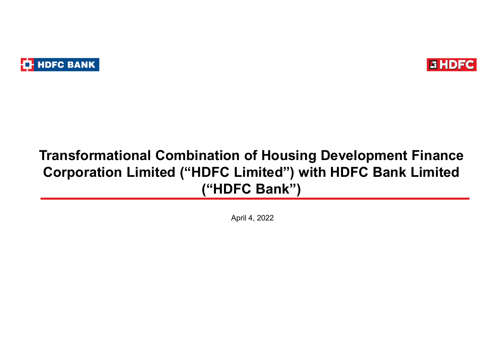



# Transformational Combination of Housing Development Finance Corporation Limited ("HDFC Limited") with HDFC Bank Limited ("HDFC Bank")

April 4, 2022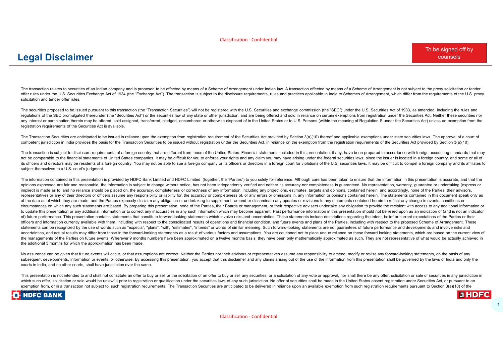#### Legal Disclaimer

solicitation and tender offer rules.

Classification - Confidential<br>-CONSIDENT COURSES<br>The transmission method of the substitution of the substitution of the substitution of the substitution of the<br>Method in the substitution of the substitution of the substitu Classification - Confidential<br>To be signed off by<br>The transition relate is securities and infilm company and in proceed to be effected by means of a Scheme of Arrangement under Main law. A transaction effected by means of Cassification - Confidential<br>-<br>- Cassimation in the state of the company and is proposed to to distribute the state of Amagement case in the Manuscript of the Scheme of Amagement is related to the proposed for the confiden requlations of the SEC promulgated thereunder (the "Securities Act") or the securities law of any state or other jurisdiction, and are being offered and sold in reliance on certain exemptions from registration under the Se  $\textbf{C9a1 Disc} \textbf{E1} \textbf{S2} \textbf{C3} \textbf{C4} \textbf{D1} \textbf{S3} \textbf{C4} \textbf{D2} \textbf{C5} \textbf{C6} \textbf{C7} \textbf{C8} \textbf{C8} \textbf{D9} \textbf{C9} \textbf{C8} \textbf{D1} \textbf{C8} \textbf{D2} \textbf{C9} \textbf{D3} \textbf{D4} \textbf{D5} \textbf{D6} \textbf{D7} \textbf{D8} \textbf{D8} \textbf{D9} \textbf{D9} \textbf{D9}$ registration requirements of the Securities Act is available. competent jurisdiction in India provides the basis for the Transaction Securities to be issued without registration under the Securities Act, in reliance on the exemption from the registration requirements of the Securities Act provided by Section 3(a)(10). The transaction is subject to disclosure requirements of a foreign country that are different from those of the United States. Financial statements included in this presentation, if any, have been prepared in accordance with foreign accounting standards that may  $\label{f:2} \begin{minipage}[t]{0.9cm} \begin{minipage}[t]{0.9cm} \begin{minipage}[t]{0.9cm} \begin{minipage}[t]{0.9cm} \begin{minipage}[t]{0.9cm} \begin{minipage}[t]{0.9cm} \begin{minipage}[t]{0.9cm} \begin{minipage}[t]{0.9cm} \begin{minipage}[t]{0.9cm} \begin{minipage}[t]{0.9cm} \begin{minipage}[t]{0.9cm} \begin{minipage}[t]{0.9cm} \begin{minipage}[t]{0.9cm} \begin{minipage}[t]{0.9cm} \begin{minipage}[t]{0.9cm} \begin{$ 

The Transaction Securities are anticipated to be issued in reliance upon the exemption from registration requirement of the Securities Act provided by Section 3(a)(10) thereof and applicable exemptions under state securiti

its officers and directors may be residents of a foreign country. You may not be able to sue a foreign company or its officers or directors in a foreign count for violations of the U.S. securities laws. It may be difficult subject themselves to a U.S. court's judgment.

The information contained in this presentation is provided by HDFC Bank Limited and HDFC Limited (together, the "Parties") to you solely for reference. Although care has been taken to ensure that the information in this pr opinions expressed are fair and reasonable, the information is subiect to change without notice, has not been independently verified and neither its accuracy nor completeness is quaranteed. No representation, warranty, qua implied) is made as to, and no reliance should be placed on, the accuracy, completeness or correctness of any information, including any projections, estimates, targets and opinions, contained herein, and accordingly, none representatives or any of their directors or officers assume any responsibility or liability for, the accuracy or completeness of, or any errors or omissions in, any information or opinions contained herein. The statements at the date as of which they are made, and the Parties expressly disclaim any obligation or undertaking to supplement, amend or disseminate any undates or revisions to any statements contained herein to reflect any change circumstances on which any such statements are based. By preparing this presentation, none of the Parties, their Boards or management, or their respective advisers undertake any obligation to provide the recipient with acc to update this presentation or any additional information or to correct any inaccuracies in any such information which may become apparent. Past performance information in this presentation should not be relied upon as an The book and the state of the state of the State of the State of the State of the state of the state of the state of the State of the State of the State of the State of the State of the State of the State of the State of officers and information currently available with them, including with respect to the consolidated results of operations and financial condition, and future events and plans of the Parties, including with respect to the pr statements can be recognized by the use of words such as "expects", "plans", "will", "estimates", "intends" or words of similar meaning. Such forward-looking statements are not guarantees of future performance and developm The teacher is a standard of the company of a property of a distribution of the company of the standard and probabilities of the company in the standard of the standard and the company of the standard of the standard of th To know the section of the towards of the section of the section of the section of the section of the section of the section of the section of the section of the section of the section of the section of the section of the the additional 3 months for which the approximation has been made. are marked a consider the state of the state of the state of the state of the state of the state of the state of the state of the state of the state of the state of the state of the state of the state of the state of the The total computer in the properties are a most of the computer in the state of the state of the state of the state of the state of the state of the state of the state of the state of the state of the state of the state o symbolic symbolic in the basis of the state in the symbolic interest of the symbolic interest in the symbolic symbolic symbolic symbolic symbolic symbolic symbolic symbolic symbolic symbolic symbolic symbolic symbolic sym rection rations of the source of a state, income care are expected in rection and the source of the source of the source of the source of the source of the source of the source of the source of the source of the source of

courts in India, and no other courts, shall have jurisdiction over the same.

exemption from, or in a transaction not subject to, such registration requirements. The Transaction Securities are anticipated to be delivered in reliance upon an available exemption from such registration requirements pur

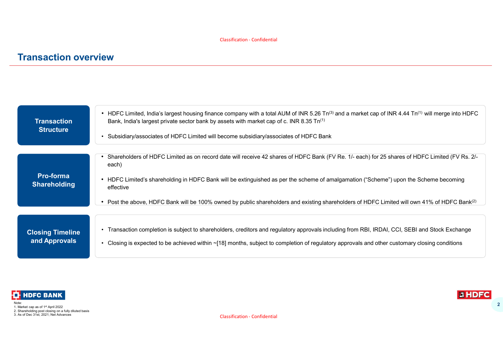### Transaction overview

|                                        | <b>Classification - Confidential</b>                                                                                                                                                                                                                                   |
|----------------------------------------|------------------------------------------------------------------------------------------------------------------------------------------------------------------------------------------------------------------------------------------------------------------------|
| <b>Transaction overview</b>            |                                                                                                                                                                                                                                                                        |
|                                        |                                                                                                                                                                                                                                                                        |
|                                        |                                                                                                                                                                                                                                                                        |
| <b>Transaction</b><br><b>Structure</b> | • HDFC Limited, India's largest housing finance company with a total AUM of INR 5.26 Tn <sup>(3)</sup> and a market cap of INR 4.44 Tn <sup>(1)</sup> will merge into HDFC<br>Bank, India's largest private sector bank by assets with market cap of c. INR 8.35 Tn(1) |
|                                        | Subsidiary/associates of HDFC Limited will become subsidiary/associates of HDFC Bank<br>$\bullet$                                                                                                                                                                      |
|                                        | Shareholders of HDFC Limited as on record date will receive 42 shares of HDFC Bank (FV Re. 1/- each) for 25 shares of HDFC Limited (FV Rs. 2/-<br>$\bullet$<br>each)                                                                                                   |
| Pro-forma<br><b>Shareholding</b>       | • HDFC Limited's shareholding in HDFC Bank will be extinguished as per the scheme of amalgamation ("Scheme") upon the Scheme becoming<br>effective                                                                                                                     |
|                                        | • Post the above, HDFC Bank will be 100% owned by public shareholders and existing shareholders of HDFC Limited will own 41% of HDFC Bank <sup>(2)</sup>                                                                                                               |
| <b>Closing Timeline</b>                | • Transaction completion is subject to shareholders, creditors and regulatory approvals including from RBI, IRDAI, CCI, SEBI and Stock Exchange                                                                                                                        |
| and Approvals                          | • Closing is expected to be achieved within ~[18] months, subject to completion of regulatory approvals and other customary closing conditions                                                                                                                         |



1. Market cap as of 1st April 2022 2. Shareholding post closing on a fully diluted basis 3. As of Dec 31st, 2021; Net Advances

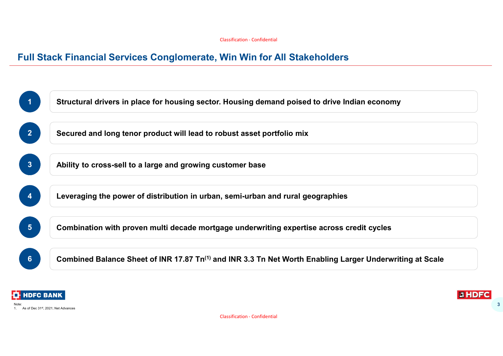



3

Classification - Confidential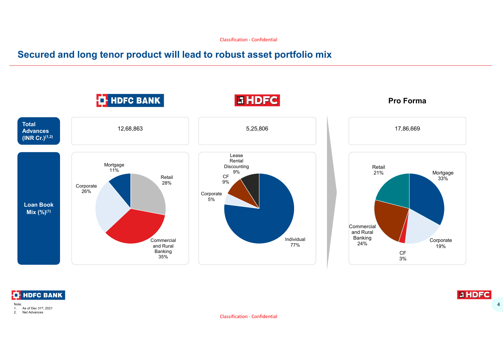#### Secured and long tenor product will lead to robust asset portfolio mix





Note: 1. As of Dec 31<sup>st</sup>, 2021<br>2. Net Advances Net Advances



Classification - Confidential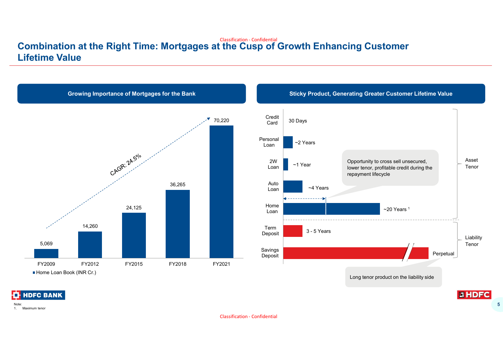#### Classification - Confidential Combination at the Right Time: Mortgages at the Cusp of Growth Enhancing Customer Lifetime Value



1. Maximum tenor

Classification - Confidential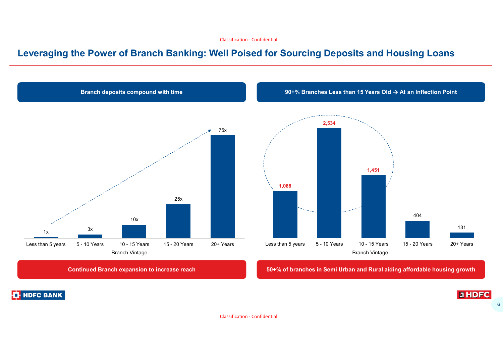#### Classification - Confidential

#### Leveraging the Power of Branch Banking: Well Poised for Sourcing Deposits and Housing Loans



Classification - Confidential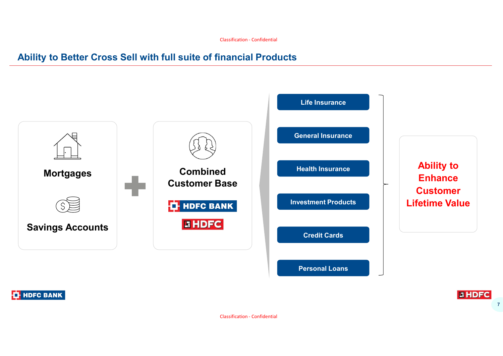## Ability to Better Cross Sell with full suite of financial Products



**THE HDFC BANK** 

7

**GHDFC** 

Classification - Confidential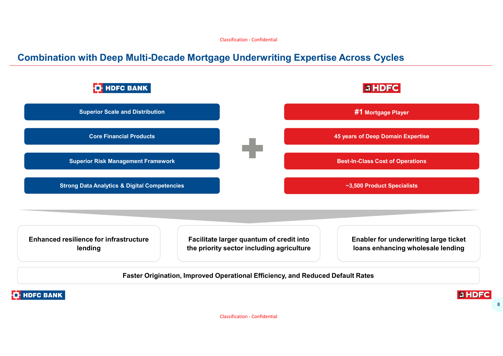#### Combination with Deep Multi-Decade Mortgage Underwriting Expertise Across Cycles

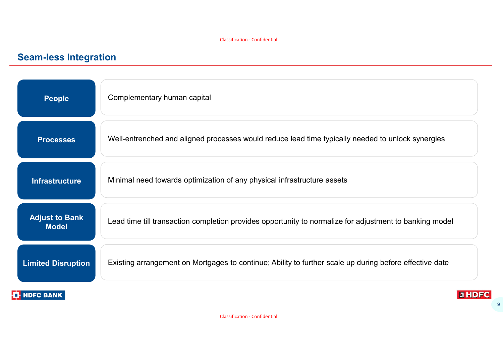# Seam-less Integration

| <b>People</b>                         | Complementary human capital                                                                             |
|---------------------------------------|---------------------------------------------------------------------------------------------------------|
| <b>Processes</b>                      | Well-entrenched and aligned processes would reduce lead time typically needed to unlock synergies       |
| <b>Infrastructure</b>                 | Minimal need towards optimization of any physical infrastructure assets                                 |
| <b>Adjust to Bank</b><br><b>Model</b> | Lead time till transaction completion provides opportunity to normalize for adjustment to banking model |
| <b>Limited Disruption</b>             | Existing arrangement on Mortgages to continue; Ability to further scale up during before effective date |
| <b>T</b> -HDFC BANK                   | <b>EHDFC</b>                                                                                            |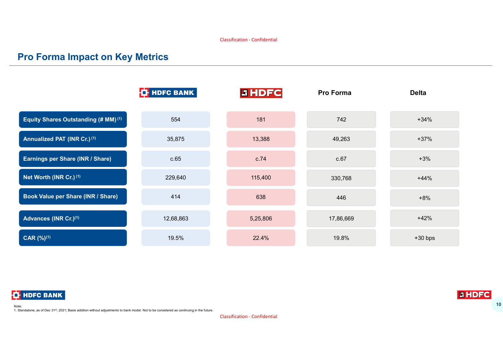#### Pro Forma Impact on Key Metrics







1. Standalone, as of Dec 31<sup>st</sup>, 2021; Basis addition without adjustments to bank model. Not to be considered as continuing in the future.

Classification - Confidential

**GHDF** 10